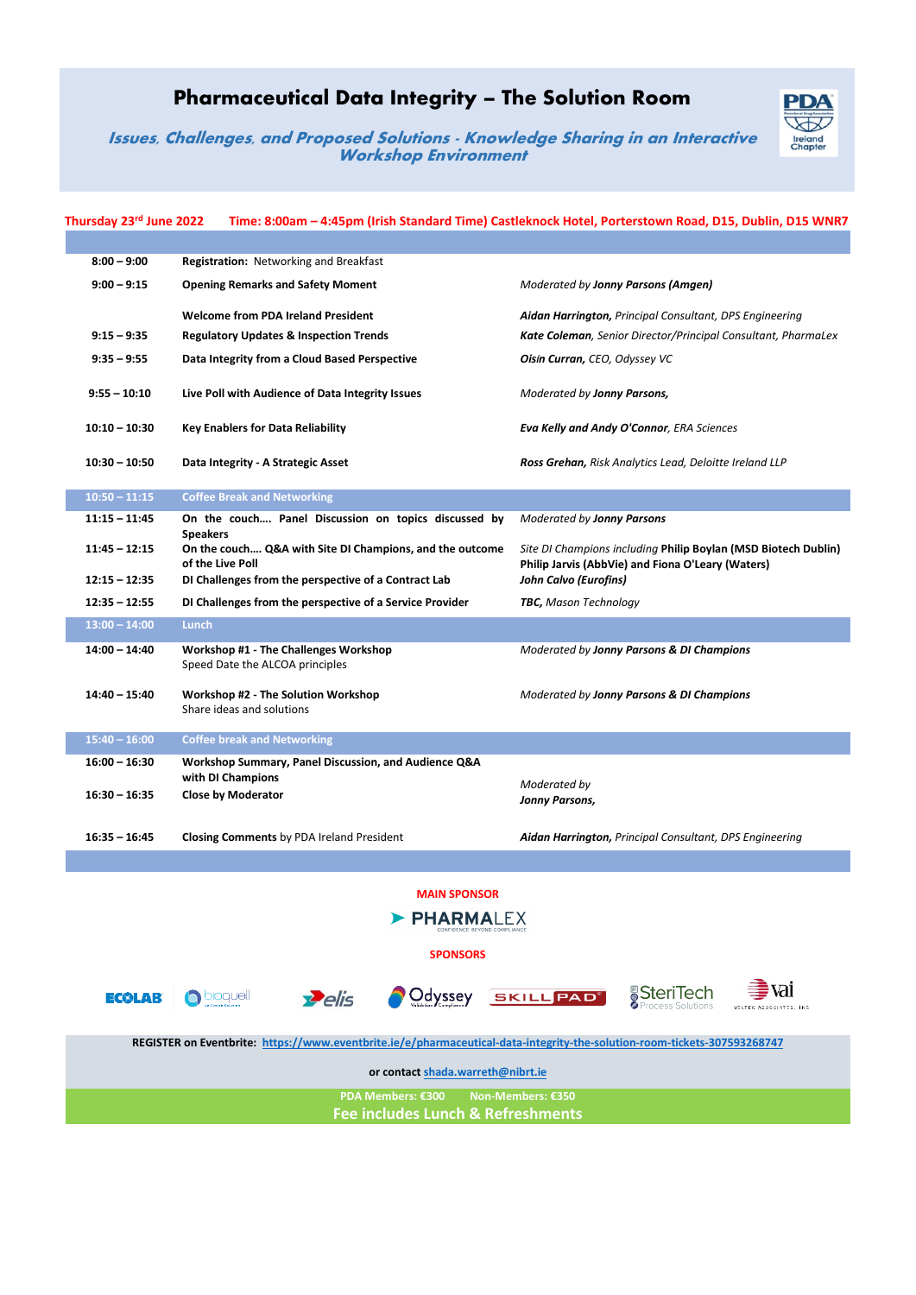## **Pharmaceutical Data Integrity – The Solution Room**

Trelan<br>Chapt

**Issues, Challenges, and Proposed Solutions - Knowledge Sharing in an Interactive Workshop Environment**

## **Thursday 23rd June 2022 Time: 8:00am – 4:45pm (Irish Standard Time) Castleknock Hotel, Porterstown Road, D15, Dublin, D15 WNR7**

| $8:00 - 9:00$                            | Registration: Networking and Breakfast                                                          |                                                                                                                     |
|------------------------------------------|-------------------------------------------------------------------------------------------------|---------------------------------------------------------------------------------------------------------------------|
| $9:00 - 9:15$                            | <b>Opening Remarks and Safety Moment</b>                                                        | Moderated by Jonny Parsons (Amgen)                                                                                  |
|                                          | <b>Welcome from PDA Ireland President</b>                                                       | Aidan Harrington, Principal Consultant, DPS Engineering                                                             |
| $9:15 - 9:35$                            |                                                                                                 |                                                                                                                     |
|                                          | <b>Regulatory Updates &amp; Inspection Trends</b>                                               | <b>Kate Coleman, Senior Director/Principal Consultant, PharmaLex</b>                                                |
| $9:35 - 9:55$                            | Data Integrity from a Cloud Based Perspective                                                   | Oisín Curran, CEO, Odyssey VC                                                                                       |
| $9:55 - 10:10$                           | Live Poll with Audience of Data Integrity Issues                                                | Moderated by Jonny Parsons,                                                                                         |
| $10:10 - 10:30$                          | <b>Key Enablers for Data Reliability</b>                                                        | Eva Kelly and Andy O'Connor, ERA Sciences                                                                           |
| $10:30 - 10:50$                          | Data Integrity - A Strategic Asset                                                              | Ross Grehan, Risk Analytics Lead, Deloitte Ireland LLP                                                              |
| $10:50 - 11:15$                          | <b>Coffee Break and Networking</b>                                                              |                                                                                                                     |
| $11:15 - 11:45$                          | On the couch Panel Discussion on topics discussed by                                            | Moderated by Jonny Parsons                                                                                          |
| $11:45 - 12:15$                          | <b>Speakers</b><br>On the couch Q&A with Site DI Champions, and the outcome<br>of the Live Poll | Site DI Champions including Philip Boylan (MSD Biotech Dublin)<br>Philip Jarvis (AbbVie) and Fiona O'Leary (Waters) |
| $12:15 - 12:35$                          | DI Challenges from the perspective of a Contract Lab                                            | <b>John Calvo (Eurofins)</b>                                                                                        |
| $12:35 - 12:55$                          | DI Challenges from the perspective of a Service Provider                                        | <b>TBC, Mason Technology</b>                                                                                        |
| $13:00 - 14:00$                          | <b>Lunch</b>                                                                                    |                                                                                                                     |
| $14:00 - 14:40$                          | Workshop #1 - The Challenges Workshop<br>Speed Date the ALCOA principles                        | Moderated by Jonny Parsons & DI Champions                                                                           |
| $14:40 - 15:40$                          | Workshop #2 - The Solution Workshop<br>Share ideas and solutions                                | Moderated by Jonny Parsons & DI Champions                                                                           |
| $15:40 - 16:00$                          | <b>Coffee break and Networking</b>                                                              |                                                                                                                     |
| $16:00 - 16:30$                          | Workshop Summary, Panel Discussion, and Audience Q&A                                            |                                                                                                                     |
|                                          | with DI Champions                                                                               | Moderated by                                                                                                        |
| $16:30 - 16:35$                          | <b>Close by Moderator</b>                                                                       | Jonny Parsons,                                                                                                      |
| $16:35 - 16:45$                          | <b>Closing Comments by PDA Ireland President</b>                                                | Aidan Harrington, Principal Consultant, DPS Engineering                                                             |
|                                          |                                                                                                 |                                                                                                                     |
|                                          |                                                                                                 |                                                                                                                     |
| <b>MAIN SPONSOR</b>                      |                                                                                                 |                                                                                                                     |
| PHARMALLX<br>CONFIDENCE BEYOND COMPLIANC |                                                                                                 |                                                                                                                     |
| <b>SPONSORS</b>                          |                                                                                                 |                                                                                                                     |